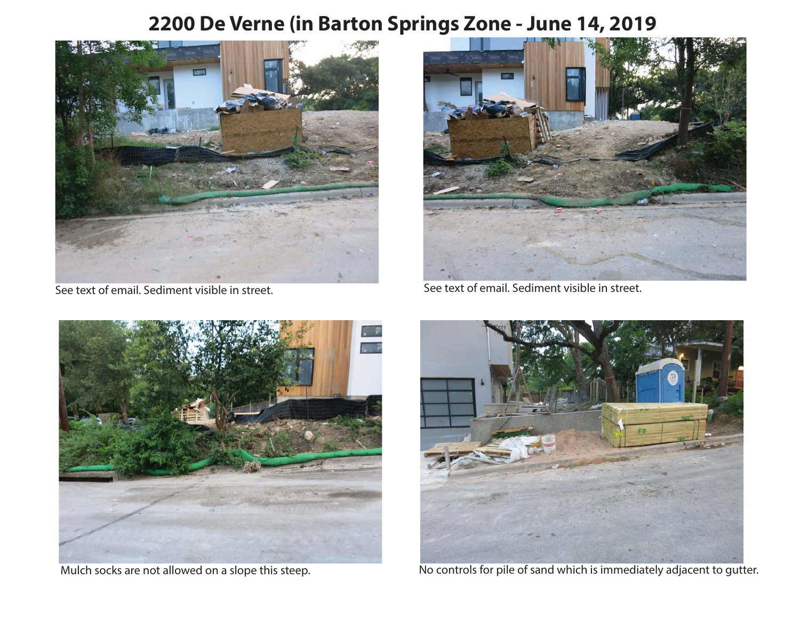# **2200 De Verne (in Barton Springs Zone - June 14, 2019**



See text of email. Sediment visible in street.



See text of email. Sediment visible in street.





Mulch socks are not allowed on a slope this steep. No controls for pile of sand which is immediately adjacent to gutter.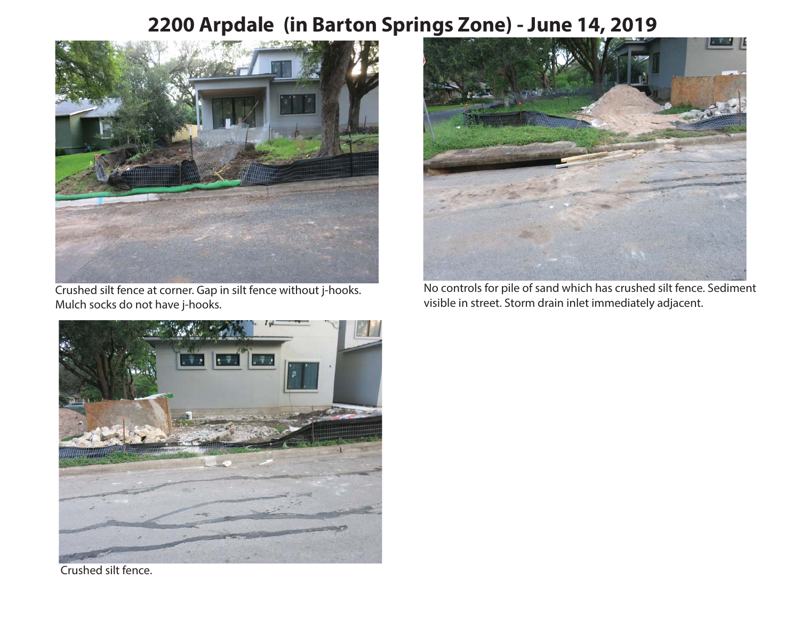# **2200 Arpdale (in Barton Springs Zone) - June 14, 2019**



Crushed silt fence at corner. Gap in silt fence without j-hooks. Mulch socks do not have j-hooks.



No controls for pile of sand which has crushed silt fence. Sediment visible in street. Storm drain inlet immediately adjacent.



Crushed silt fence.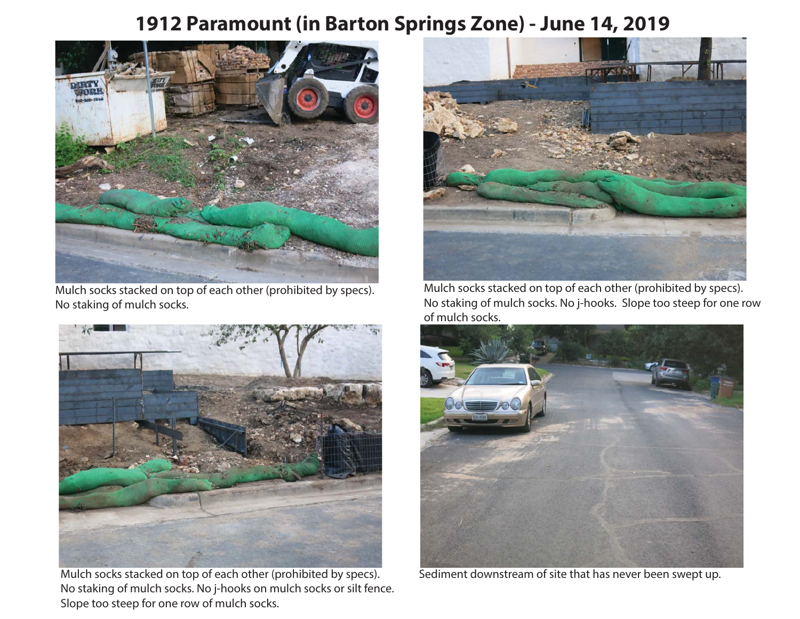#### **1912 Paramount (in Barton Springs Zone) - June 14, 2019**



Mulch socks stacked on top of each other (prohibited by specs). No staking of mulch socks.



Mulch socks stacked on top of each other (prohibited by specs). No staking of mulch socks. No j-hooks on mulch socks or silt fence. Slope too steep for one row of mulch socks.



Mulch socks stacked on top of each other (prohibited by specs). No staking of mulch socks. No j-hooks. Slope too steep for one row of mulch socks.



Sediment downstream of site that has never been swept up.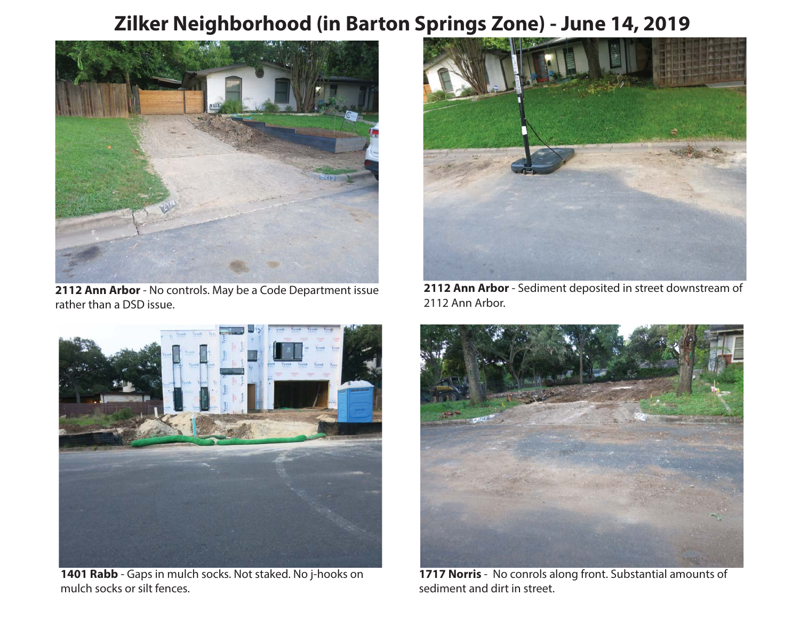### **Zilker Neighborhood (in Barton Springs Zone) - June 14, 2019**



**2112 Ann Arbor** - No controls. May be a Code Department issue rather than a DSD issue.



**1401 Rabb** - Gaps in mulch socks. Not staked. No j-hooks on mulch socks or silt fences.



**2112 Ann Arbor** - Sediment deposited in street downstream of 2112 Ann Arbor.



**1717 Norris** - No conrols along front. Substantial amounts of sediment and dirt in street.